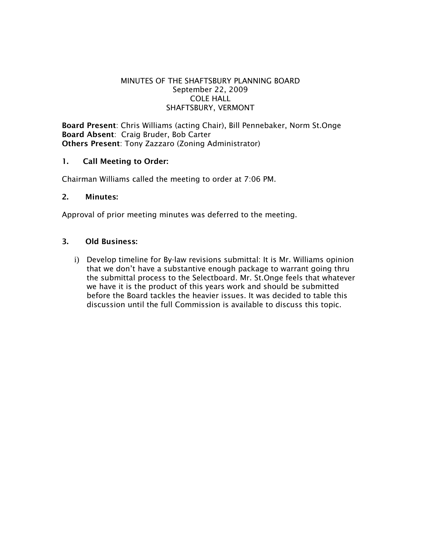## MINUTES OF THE SHAFTSBURY PLANNING BOARD September 22, 2009 COLE HALL SHAFTSBURY, VERMONT

Board Present: Chris Williams (acting Chair), Bill Pennebaker, Norm St.Onge Board Absent: Craig Bruder, Bob Carter Others Present: Tony Zazzaro (Zoning Administrator)

## 1. Call Meeting to Order:

Chairman Williams called the meeting to order at 7:06 PM.

## 2. Minutes:

Approval of prior meeting minutes was deferred to the meeting.

# 3. Old Business:

i) Develop timeline for By-law revisions submittal: It is Mr. Williams opinion that we don't have a substantive enough package to warrant going thru the submittal process to the Selectboard. Mr. St.Onge feels that whatever we have it is the product of this years work and should be submitted before the Board tackles the heavier issues. It was decided to table this discussion until the full Commission is available to discuss this topic.